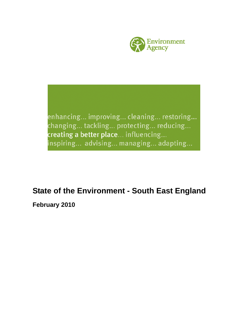

enhancing... improving... cleaning... restoring... changing... tackling... protecting... reducing... creating a better place... influencing... inspiring... advising... managing... adapting...

## **State of the Environment - South East England**

**February 2010**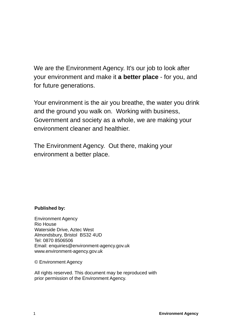We are the Environment Agency. It's our job to look after your environment and make it **a better place** - for you, and for future generations.

Your environment is the air you breathe, the water you drink and the ground you walk on. Working with business, Government and society as a whole, we are making your environment cleaner and healthier.

The Environment Agency. Out there, making your environment a better place.

## **Published by:**

Environment Agency Rio House Waterside Drive, Aztec West Almondsbury, Bristol BS32 4UD Tel: 0870 8506506 Email: enquiries@environment-agency.gov.uk www.environment-agency.gov.uk

© Environment Agency

All rights reserved. This document may be reproduced with prior permission of the Environment Agency.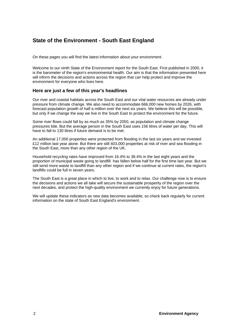## **State of the Environment - South East England**

On these pages you will find the latest information about your environment.

Welcome to our ninth State of the Environment report for the South East. First published in 2000, it is the barometer of the region's environmental health. Our aim is that the information presented here will inform the decisions and actions across the region that can help protect and improve the environment for everyone who lives here.

### **Here are just a few of this year's headlines**

Our river and coastal habitats across the South East and our vital water resources are already under pressure from climate change. We also need to accommodate 666,000 new homes by 2026, with forecast population growth of half a million over the next six years. We believe this will be possible, but only if we change the way we live in the South East to protect the environment for the future.

Some river flows could fall by as much as 35% by 2050, as population and climate change pressures bite. But the average person in the South East uses 156 litres of water per day. This will have to fall to 130 litres if future demand is to be met.

An additional 17,000 properties were protected from flooding in the last six years and we invested £12 million last year alone. But there are still 403,000 properties at risk of river and sea flooding in the South East, more than any other region of the UK.

Household recycling rates have improved from 16.4% to 38.4% in the last eight years and the proportion of municipal waste going to landfill has fallen below half for the first time last year. But we still send more waste to landfill than any other region and if we continue at current rates, the region's landfills could be full in seven years.

The South East is a great place in which to live, to work and to relax. Our challenge now is to ensure the decisions and actions we all take will secure the sustainable prosperity of the region over the next decades, and protect the high-quality environment we currently enjoy for future generations.

We will update these indicators as new data becomes available, so check back regularly for current information on the state of South East England's environment.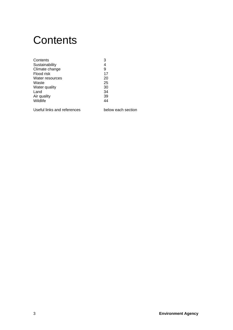## **Contents**

| 4<br>Sustainability<br>Climate change<br>9<br>17<br>Flood risk<br>20<br>Water resources<br>25<br>Waste<br>Water quality<br>30<br>34<br>Land<br>39<br>Air quality<br>Wildlife<br>44 | Contents | 3 |
|------------------------------------------------------------------------------------------------------------------------------------------------------------------------------------|----------|---|
|                                                                                                                                                                                    |          |   |
|                                                                                                                                                                                    |          |   |
|                                                                                                                                                                                    |          |   |
|                                                                                                                                                                                    |          |   |
|                                                                                                                                                                                    |          |   |
|                                                                                                                                                                                    |          |   |
|                                                                                                                                                                                    |          |   |
|                                                                                                                                                                                    |          |   |
|                                                                                                                                                                                    |          |   |

Useful links and references below each section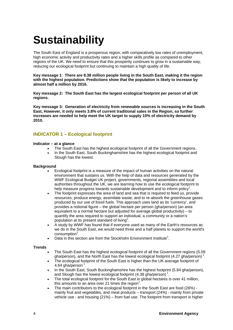# **Sustainability**

The South East of England is a prosperous region, with comparatively low rates of unemployment, high economic activity and productivity rates and a higher skills profile as compared to other regions of the UK. We need to ensure that this prosperity continues to grow in a sustainable way, reducing our ecological footprint but continuing to maintain a high quality of life.

**Key message 1**: **There are 8.38 million people living in the South East, making it the region with the highest population. Predictions show that the population is likely to increase by almost half a million by 2016.** 

**Key message 2: The South East has the largest ecological footprint per person of all UK regions.** 

**Key message 3: Generation of electricity from renewable sources is increasing in the South East, However, it only meets 3.8% of current traditional sales in the Region, so further increases are needed to help meet the UK target to supply 10% of electricity demand by 2010.** 

## **INDICATOR 1 – Ecological footprint**

#### **Indicator – at a glance**

- The South East has the highest ecological footprint of all the Government regions.
- In the South East, South Buckinghamshire has the highest ecological footprint and Slough has the lowest.

#### **Background**

- Ecological footprint is a measure of the impact of human activities on the natural environment that sustains us. With the help of data and resources generated by the WWF Ecological Budget UK project, governments, regional assemblies and local authorities throughout the UK, we are learning how to use the ecological footprint to help measure progress towards sustainable development and to inform policy<sup>1</sup>.
- The footprint expresses the area of land and sea that is required to feed us, provide resources, produce energy, assimilate waste, and to re-absorb the greenhouse gases produced by our use of fossil fuels. This approach uses land as its 'currency', and provides a notional figure – the global hectare per person (gha/person) (an area equivalent to a normal hectare but adjusted for average global productivity) – to quantify the area required to support an individual, a community or a nation's population at its present standard of living<sup>1</sup>.
- A study by WWF has found that if everyone used as many of the Earth's resources as we do in the South East, we would need three and a half planets to support the world's consumption<sup>2</sup>.
- Data in this section are from the Stockholm Environment Institute<sup>1</sup>.

- The South East has the highest ecological footprint of all the Government regions (5.09 gha/person), and the North East has the lowest ecological footprint (4.27 gha/person)<sup>1</sup>.
- The ecological footprint of the South East is higher than the UK average footprint of 4.64 gha/person  $^1$ .
- In the South East, South Buckinghamshire has the highest footprint (5.84 gha/person), and Slough has the lowest ecological footprint  $(4.38 \text{ gha/person})^1$ .
- The total ecological footprint for the South East in global hectares is over 41 million, this amounts to an area over 21 times the region<sup>1</sup>.
- The main contributors to the ecological footprint in the South East are food (26%) mainly fruit and vegetables, and meat products – transport (24%) - mainly from private vehicle use - and housing (21%) – from fuel use. The footprint from transport is higher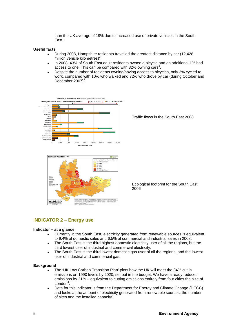than the UK average of 19% due to increased use of private vehicles in the South  $East<sup>1</sup>$ .

#### **Useful facts**

- During 2008, Hampshire residents travelled the greatest distance by car (12,428  $m$ illion vehicle kilometres)<sup>3</sup>.
- In 2008, 43% of South East adult residents owned a bicycle and an additional 1% had access to one. This can be compared with 82% owning cars<sup>3</sup>.
- Despite the number of residents owning/having access to bicycles, only 3% cycled to work, compared with 10% who walked and 72% who drove by car (during October and December  $2007$ <sup>3</sup>.



Traffic flows in the South East 2008



Ecological footprint for the South East 2006

## **INDICATOR 2 – Energy use**

#### **Indicator – at a glance**

- Currently in the South East, electricity generated from renewable sources is equivalent to 9.4% of domestic sales and 6.5% of commercial and industrial sales in 2008.
- The South East is the third highest domestic electricity user of all the regions, but the third lowest user of industrial and commercial electricity.
- The South East is the third lowest domestic gas user of all the regions, and the lowest user of industrial and commercial gas.

- The 'UK Low Carbon Transition Plan' plots how the UK will meet the 34% cut in emissions on 1990 levels by 2020, set out in the budget. We have already reduced emissions by 21% – equivalent to cutting emissions entirely from four cities the size of London<sup>4</sup>.
- Data for this indicator is from the Department for Energy and Climate Change (DECC) and looks at the amount of electricity generated from renewable sources, the number of sites and the installed capacity<sup>4</sup>.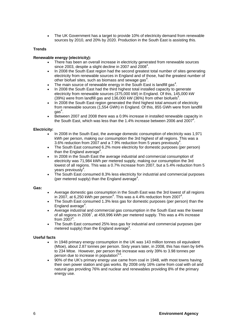• The UK Government has a target to provide 10% of electricity demand from renewable sources by 2010, and 20% by 2020. Production in the South East is assisting this.

#### **Trends**

#### **Renewable energy (electricity):**

- There has been an overall increase in electricity generated from renewable sources since 2003, despite a slight decline in 2007 and  $2008^4$ .
- In 2008 the South East region had the second greatest total number of sites generating electricity from renewable sources in England and of those, had the greatest number of other biofuel sites, such as biomass and sewage gas<sup>4</sup>.
- The main source of renewable energy in the South East is landfill gas<sup>4</sup>.
- In 2008 the South East had the third highest total installed capacity to generate electricity from renewable sources (375,000 kW) in England. Of this, 145,000 kW  $(39%)$  were from landfill gas and 136,000 kW  $(36%)$  from other biofuels<sup>4</sup>.
- In 2008 the South East region generated the third highest total amount of electricity from renewable sources (1,554 GWh) in England. Of this, 855 GWh were from landfill  $\mathsf{gas}^4$ .
- Between 2007 and 2008 there was a 0.9% increase in installed renewable capacity in the South East, which was less than the 1.4% increase between 2006 and 2007<sup>4</sup>.

#### **Electricity:**

- In 2008 in the South East, the average domestic consumption of electricity was 1,971 kWh per person, making our consumption the 3rd highest of all regions. This was a 3.6% reduction from 2007 and a 7.9% reduction from 5 years previously<sup>4</sup>.
- The South East consumed 6.2% more electricity for domestic purposes (per person) than the England average<sup>4</sup>.
- In 2008 in the South East the average industrial and commercial consumption of electricity was 71,984 kWh per metered supply, making our consumption the 3rd lowest of all regions. This was a 0.7% increase from 2007, but a 5.4% reduction from 5 years previously<sup>4</sup>.
- The South East consumed 8.3% less electricity for industrial and commercial purposes (per metered supply) than the England average<sup>4</sup>.

#### **Gas:**

- Average domestic gas consumption in the South East was the 3rd lowest of all regions in 2007, at 6,250 kWh per person<sup>4</sup>. This was a 4.4% reduction from 2007<sup>4</sup>.
- The South East consumed 1.3% less gas for domestic purposes (per person) than the England average<sup>4</sup>.
- Average industrial and commercial gas consumption in the South East was the lowest of all regions in 2008<sup>7</sup>, at 459,996 kWh per metered supply. This was a 4% increase from  $2007<sup>4</sup>$ .
- The South East consumed 25% less gas for industrial and commercial purposes (per metered supply) than the England average<sup>4</sup>.

#### **Useful facts**

- In 1948 primary energy consumption in the UK was 143 million tonnes oil equivalent (Mtoe), about 2.87 tonnes per person. Sixty years later, in 2008, this has risen by 64% to 234 Mtoe. However, per person the increase was only 39% to 3.98 tonnes per person due to increase in population<sup>5,6</sup>.
- 90% of the UK's primary energy use came from coal in 1948, with most towns having their own power station and gas works. By 2008 only 16% came from coal with oil and natural gas providing 76% and nuclear and renewables providing 8% of the primary energy use.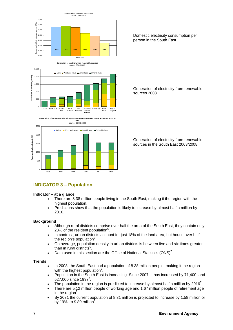

2.500 **■ Hydro** ■ Wind and wave ■ Landfill gas ■ Other biofuels  $(GWh)$ 2,000 **Generation of electricity (GWh)** tion of electricity 1,500 1,000 Gener 50 0 **Suth East West London North East South West Midlands East Midlands Yorkshire East of England West and the**

**Generation of renewable electricity from renewable sources in the Sout East 2003 to 2008**  source: DECC 2009

**Humber**



Domestic electricity consumption per person in the South East

Generation of electricity from renewable sources 2008

Generation of electricity from renewable sources in the South East 2003/2008

## **INDICATOR 3 – Population**

#### **Indicator – at a glance**

- There are 8.38 million people living in the South East, making it the region with the highest population.
- Predictions show that the population is likely to increase by almost half a million by 2016.

#### **Background**

- Although rural districts comprise over half the area of the South East, they contain only 28% of the resident population $^6$ .
- In contrast, urban districts account for just 18% of the land area, but house over half the region's population<sup>6</sup>.
- On average, population density in urban districts is between five and six times greater than in rural districts<sup>6</sup>.
- Data used in this section are the Office of National Statistics  $(ONS)^7$ .

- In 2008, the South East had a population of 8.38 million people, making it the region with the highest population<sup>7</sup>.
- Population in the South East is increasing. Since 2007, it has increased by 71,400, and  $527,000$  since 1997<sup>7</sup>.
- The population in the region is predicted to increase by almost half a million by 2016<sup>7</sup>.
- There are 5.12 million people of working age and 1.67 million people of retirement age in the region<sup>7</sup>.
- By 2031 the current population of 8.31 million is projected to increase by 1.58 million or by 19%, to 9.89 million<sup>7</sup>.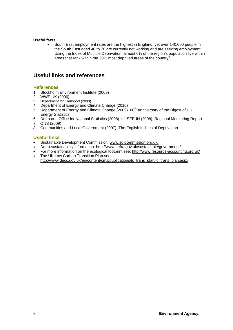#### **Useful facts**

• South East employment rates are the highest in England; yet over 140,000 people in the South East aged 40 to 70 are currently not working and are seeking employment. Using the Index of Multiple Deprivation, almost 6% of the region's population live within areas that rank within the 20% most deprived areas of the country<sup>8</sup>.

## **Useful links and references**

#### **References**

- 1. Stockholm Environment Institute (2009)
- 2. WWF-UK (2006)
- 3. Department for Transport (2009)
- 4. Department of Energy and Climate Change (2010)
- 5. Department of Energy and Climate Change (2009). 60<sup>th</sup> Anniversary of the Digest of UK Energy Statistics.
- 6. Defra and Office for National Statistics (2008). In: SEE-IN (2008), Regional Monitoring Report
- 7. ONS (2009)
- 8. Communities and Local Government (2007). The English Indices of Deprivation

#### **Useful links**

- Sustainable Development Commission: www.sd-commission.org.uk/
- Defra sustainability information: http://www.defra.gov.uk/sustainable/government/
- For more information on the ecological footprint see: http://www.resource-accounting.org.uk/
- The UK Low Carbon Transition Plan see: http://www.decc.gov.uk/en/content/cms/publications/lc\_trans\_plan/lc\_trans\_plan.aspx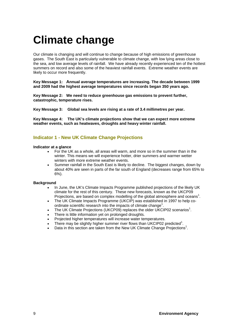## **Climate change**

Our climate is changing and will continue to change because of high emissions of greenhouse gases. The South East is particularly vulnerable to climate change, with low lying areas close to the sea, and low average levels of rainfall. We have already recently experienced ten of the hottest summers on record and also some of the heaviest rainfall events. Extreme weather events are likely to occur more frequently.

**Key Message 1: Annual average temperatures are increasing. The decade between 1999 and 2009 had the highest average temperatures since records began 350 years ago.** 

**Key Message 2: We need to reduce greenhouse gas emissions to prevent further, catastrophic, temperature rises.** 

**Key Message 3: Global sea levels are rising at a rate of 3.4 millimetres per year.** 

**Key Message 4: The UK's climate projections show that we can expect more extreme weather events, such as heatwaves, droughts and heavy winter rainfall.**

### **Indicator 1 - New UK Climate Change Projections**

#### **Indicator at a glance**

- For the UK as a whole, all areas will warm, and more so in the summer than in the winter. This means we will experience hotter, drier summers and warmer wetter winters with more extreme weather events.
- Summer rainfall in the South East is likely to decline. The biggest changes, down by about 40% are seen in parts of the far south of England (decreases range from 65% to 6%).

- In June, the UK's Climate Impacts Programme published projections of the likely UK climate for the rest of this century. These new forecasts, known as the UKCP09 Projections, are based on complex modelling of the global atmosphere and oceans<sup>1</sup>.
- The UK Climate Impacts Programme (UKCIP) was established in 1997 to help coordinate scientific research into the impacts of climate change<sup>1</sup>.
- The UK Climate Projections (UKCP09) replaces the older UKCIP02 scenarios<sup>1</sup>.
- There is little information yet on prolonged droughts.
- Projected higher temperatures will increase water temperatures.
- There may be slightly higher summer river flows than UKCIP02 predicted<sup>1</sup>.
- $\bullet$  Data in this section are taken from the New UK Climate Change Projections<sup>1</sup>.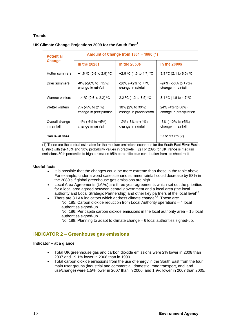#### **Trends**

#### **UK Climate Change Projections 2009 for the South East<sup>1</sup>**

| <b>Potential</b><br>Change    | Amount of Change from 1961 - 1990 (1)      |                                                   |                                             |  |
|-------------------------------|--------------------------------------------|---------------------------------------------------|---------------------------------------------|--|
|                               | In the $2020s$                             | In the $2050s$                                    | In the $2080s$                              |  |
| Hotter summers                | +1.6 °C (0.6 to 2.8) °C                    | +2.8 °C (1.3 to 4.7) °C                           | 3.9 °C (2.1 to 6.5) °C                      |  |
| Drier summers                 | -8% (-28% to +15%)<br>change in rainfall   | -20% (-42% to +7%)<br>change in rainfall          | $-24\%$ (-50% to +7%)<br>change in rainfall |  |
| Warmer winters                | 1.4 °C (0.6 to 2.2) °C                     | 2.2 °C (1.2 to 3.5) °C                            | 3.1 °C (1.6 to 4.7 °C                       |  |
| Wetter winters                | 7% (-5% to 21%)<br>change in precipitation | 18% (2% to 39%)<br>change in precipitation        | 24% (4% to 56%)<br>change in precipitation  |  |
| Overall change<br>in rainfall | $-1\%$ (-6% to +5%)<br>change in rainfall  | $-2\%$ ( $-8\%$ to $+4\%$ )<br>change in rainfall | -3% (-10% to +5%)<br>change in rainfall     |  |
| Sea level rises               |                                            |                                                   | 37 to 93 cm (2)                             |  |

 $(1)$  These are the central estimates for the medium emissions scenarios for the South East River Basin District with the 10% and 90% probability values in brackets. (2) For 2095 for UK, range is medium emissions 50th percentile to high emissions 95th percentile plus contribution from ice sheet melt.

#### **Useful facts**

- It is possible that the changes could be more extreme than those in the table above. For example, under a worst case scenario summer rainfall could decrease by 58% in the 2080's if global greenhouse gas emissions are high.
- Local Area Agreements (LAAs) are three year agreements which set out the priorities for a local area agreed between central government and a local area (the local authority and Local Strategic Partnership) and other key partners at the local level<sup>2,3</sup>.
	- There are 3 LAA indicators which address climate change<sup>2,3</sup>. These are:
		- No. 185: Carbon dioxide reduction from Local Authority operations 4 local authorities signed-up.
		- No. 186: Per capita carbon dioxide emissions in the local authority area 15 local authorities signed-up.
		- No. 188: Planning to adapt to climate change 6 local authorities signed-up.

#### **INDICATOR 2 – Greenhouse gas emissions**

#### **Indicator – at a glance**

- Total UK greenhouse gas and carbon dioxide emissions were 2% lower in 2008 than 2007 and 19.1% lower in 2008 than in 1990.
- Total carbon dioxide emissions from the use of energy in the South East from the four main user groups (industrial and commercial, domestic, road transport, and land use/change) were 1.5% lower in 2007 than in 2006, and 1.9% lower in 2007 than 2005.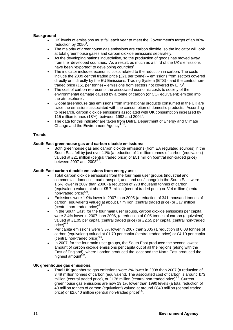#### **Background**

- UK levels of emissions must fall each year to meet the Government's target of an 80% reduction by  $2050^4$ .
- The majority of greenhouse gas emissions are carbon dioxide, so the indicator will look at total greenhouse gases and carbon dioxide emissions separately.
- As the developing nations industrialise, so the production of goods has moved away from the developed countries. As a result, as much as a third of the UK's emissions have been "exported" to developing countries<sup>5</sup>.
- The indicator includes economic costs related to the reduction in carbon. The costs include the 2009 central traded price (£21 per tonne) – emissions from sectors covered directly or indirectly by the EU Emissions. Trading System (ETS) - and the central nontraded price (£51 per tonne) – emissions from sectors not covered by  $ETS^6$ .
- The cost of carbon represents the associated economic costs to society of the environmental damage caused by a tonne of carbon (or  $CO<sub>2</sub>$  equivalent) emitted into the atmosphere<sup>6</sup>.
- Global greenhouse gas emissions from international products consumed in the UK are twice the emissions associated with the consumption of domestic products. According to research, carbon dioxide emissions associated with UK consumption increased by 115 million tonnes (18%), between 1992 and 2004<sup>7</sup>.
- The data for this indicator are taken from Defra, Department of Energy and Climate Change and the Environment Agency<sup>4,8,9</sup>.

#### **Trends**

#### **South East greenhouse gas and carbon dioxide emissions:**

• Both greenhouse gas and carbon dioxide emissions (from EA regulated sources) in the South East fell by just over 11% (a reduction of 1 million tonnes of carbon (equivalent) valued at £21 million (central traded price) or £51 million (central non-traded price) between 2007 and  $2008^{6,8}$ .

#### **South East carbon dioxide emissions from energy use:**

- Total carbon dioxide emissions from the four main user groups (industrial and commercial, domestic, road transport, and land use/change) in the South East were 1.5% lower in 2007 than 2006 (a reduction of 273 thousand tonnes of carbon (equivalent) valued at about £5.7 million (central traded price) or £14 million (central  $non-traded price)^{6,9}$
- Emissions were 1.9% lower in 2007 than 2005 (a reduction of 341 thousand tonnes of carbon (equivalent) valued at about £7 million (central traded price) or £17 million (central non-traded price) $6,9$ .
- In the South East, for the four main user groups, carbon dioxide emissions per capita were 2.4% lower in 2007 than 2006, (a reduction of 0.05 tonnes of carbon (equivalent) valued at £1.05 per capita (central traded price) or £2.55 per capita (central non-traded price) $6$
- Per capita emissions were 3.3% lower in 2007 than 2005 (a reduction of 0.08 tonnes of carbon (equivalent) valued at £1.70 per capita (central traded price) or £4.10 per capita  $(central non-traded price)^{6,9}$ .
- In 2007, for the four main user groups, the South East produced the second lowest amount of carbon dioxide emissions per capita out of all the regions (along with the East of England), where London produced the least and the North East produced the highest amount<sup> $6,9$ </sup>.

#### **UK greenhouse gas emissions:**

• Total UK greenhouse gas emissions were 2% lower in 2008 than 2007 (a reduction of 3.49 million tonnes of carbon (equivalent). The associated cost of carbon is around £73 million (central traded price), or £178 million (central non-traded price)<sup>4,6</sup>. Current greenhouse gas emissions are now 19.1% lower than 1990 levels (a total reduction of 40 million tonnes of carbon (equivalent) valued at around £840 million (central traded price) or £2,040 million (central non-traded price)<sup>4,6</sup>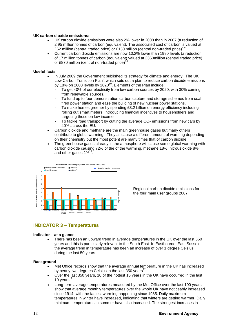#### **UK carbon dioxide emissions:**

- UK carbon dioxide emissions were also 2% lower in 2008 than in 2007 (a reduction of 2.95 million tonnes of carbon (equivalent). The associated cost of carbon is valued at £62 million (central traded price) or £150 million (central non-traded price)<sup>4,6</sup>.
- Current carbon dioxide emissions are now 10.2% lower than 1990 levels (a reduction of 17 million tonnes of carbon (equivalent) valued at £360million (central traded price) or £870 million (central non-traded price) $4,6$ .

#### **Useful facts**

- In July 2009 the Government published its strategy for climate and energy, 'The UK Low Carbon Transition Plan', which sets out a plan to reduce carbon dioxide emissions by 18% on 2008 levels by  $2020^{10}$ . Elements of the Plan include:
	- To get 40% of our electricity from low carbon sources by 2020, with 30% coming from renewable sources.
	- To fund up to four demonstration carbon capture and storage schemes from coal fired power station and ease the building of new nuclear power stations.
	- To make homes greener by spending £3.2 billion on energy efficiency including rolling out smart meters, introducing financial incentives to householders and targeting those on low income.
	- To tackle road transport by cutting the average  $CO<sub>2</sub>$  emissions from new cars by 40% across the EU.
- Carbon dioxide and methane are the main greenhouse gases but many others contribute to global warming. They all cause a different amount of warming depending on their chemistry but the most potent are many times that of carbon dioxide.
- The greenhouse gases already in the atmosphere will cause some global warming with carbon dioxide causing 72% of the of the warming, methane 18%, nitrous oxide 8% and other gases  $1\%^{11}$ .



Regional carbon dioxide emissions for the four main user groups 2007

## **INDICATOR 3 – Temperatures**

#### **Indicator – at a glance**

• There has been an upward trend in average temperatures in the UK over the last 350 years and this is particularly relevant to the South East. In Eastbourne, East Sussex the average trend in temperature has been an increase of over 1 degree Celsius during the last 50 years.

- Met Office records show that the average annual temperature in the UK has increased by nearly two degrees Celsius in the last 350 years<sup>12.</sup>
- Over the last 350 years, 10 of the hottest 15 years in the UK have occurred in the last 10 years $^{12}$ .
- Long-term average temperatures measured by the Met Office over the last 100 years show that average monthly temperatures over the whole UK have noticeably increased since 1914, with the fastest warming happening since 1985. Daily maximum temperatures in winter have increased, indicating that winters are getting warmer. Daily minimum temperatures in summer have also increased. The strongest increases in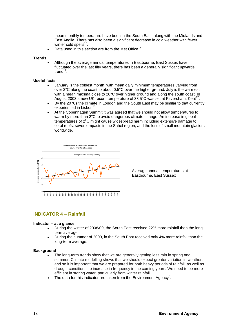mean monthly temperature have been in the South East, along with the Midlands and East Anglia. There has also been a significant decrease in cold weather with fewer winter cold spells $^{12}$ .

Data used in this section are from the Met Office<sup>12</sup>.

#### **Trends**

• Although the average annual temperatures in Eastbourne, East Sussex have fluctuated over the last fifty years, there has been a generally significant upwards trend $12$ 

#### **Useful facts**

- January is the coldest month, with mean daily minimum temperatures varying from over 3°C along the coast to about 0.5°C over the higher ground. July is the warmest with a mean maxima close to 20°C over higher ground and along the south coast. In August 2003 a new UK record temperature of  $38.5^{\circ}$ C was set at Faversham, Kent<sup>12</sup>.
- By the 2070s the climate in London and the South East may be similar to that currently experienced in Lisbon<sup>13</sup>.
- At the Copenhagen Summit it was agreed that we should not allow temperatures to warm by more than 2°C to avoid dangerous climate change. An increase in global temperatures of 2°C might cause widespread harm including extensive damage to coral reefs, severe impacts in the Sahel region, and the loss of small mountain glaciers worldwide.



Average annual temperatures at Eastbourne, East Sussex

#### **INDICATOR 4 – Rainfall**

#### **Indicator – at a glance**

- During the winter of 2008/09, the South East received 22% more rainfall than the longterm average.
- During the summer of 2009, in the South East received only 4% more rainfall than the long-term average.

- The long-term trends show that we are generally getting less rain in spring and summer. Climate modelling shows that we should expect greater variation in weather, and so it is important that we are prepared for both heavy periods of rainfall, as well as drought conditions, to increase in frequency in the coming years. We need to be more efficient in storing water, particularly from winter rainfall.
- The data for this indicator are taken from the Environment Agency<sup>8</sup>.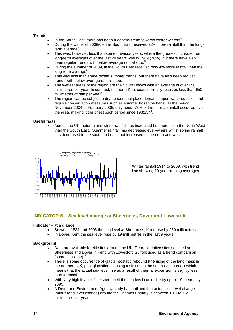#### **Trends**

- $\bullet$  In the South East, there has been a general trend towards wetter winters<sup>8</sup>.
- During the winter of 2008/09, the South East received 22% more rainfall than the longterm average<sup>8</sup>.
- This was, however, less than some previous years, where the greatest increase from long-term averages over the last 20 years was in 1989 (76%), but there have also been regular trends with below average rainfalls too $8$ .
- During the summer of 2009, in the South East received only 4% more rainfall than the long-term average<sup>8</sup>.
- This was less than some recent summer trends, but there have also been regular trends with below average rainfalls too.
- The wettest areas of the region are the South Downs with an average of over 950 millimetres per year. In contrast, the north Kent coast normally receives less than 650 millimetres of rain per year<sup>8</sup>.
- The region can be subject to dry periods that place demands upon water supplies and require conservation measures such as summer hosepipe bans. In the period November 2004 to February 2006, only about 75% of the normal rainfall occurred over the area, making it the driest such period since  $1932/34^8$ .

#### **Useful facts**

• Across the UK, autumn and winter rainfall has increased but more so in the North West than the South East. Summer rainfall has decreased everywhere whilst spring rainfall has decreased in the south and east, but increased in the north and west.



 Winter rainfall 1914 to 2009, with trend line showing 10 year running averages

#### **INDICATOR 5 – Sea level change at Sheerness, Dover and Lowestoft**

#### **Indicator – at a glance**

- Between 1834 and 2006 the sea level at Sheerness, Kent rose by 250 millimetres.
- In Dover, Kent the sea level rose by 19 millimetres in the last 9 years.

- Data are available for 44 sites around the UK. Representative sites selected are Sheerness and Dover in Kent, with Lowestoft, Suffolk used as a trend comparison  $(same coastline)^{14}$ .
- There is some occurrence of glacial isostatic rebound (the rising of the land mass in the northern UK, post glaciation, causing a sinking in the south-east corner) which means that the actual sea level rise as a result of thermal expansion is slightly less than forecast.
- With very high levels of ice sheet melt the sea level could rise by up to 1.9 metres by 2095.
- A Defra and Environment Agency study has outlined that actual sea level change (minus land level change) around the Thames Estuary is between +0.9 to 1.2 millimetres per year.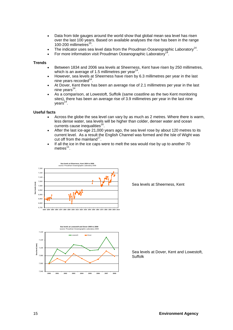- Data from tide gauges around the world show that global mean sea level has risen over the last 100 years. Based on available analyses the rise has been in the range 100-200 millimetres<sup>15</sup>.
- The indicator uses sea level data from the Proudman Oceanographic Laboratory<sup>14</sup>.
- For more information visit Proudman Oceanographic Laboratory<sup>14</sup>.

#### **Trends**

- Between 1834 and 2006 sea levels at Sheerness, Kent have risen by 250 millimetres, which is an average of 1.5 millimetres per year<sup>14</sup>.
- However, sea levels at Sheerness have risen by 6.3 millimetres per year in the last nine years recorded $14$ .
- At Dover, Kent there has been an average rise of 2.1 millimetres per year in the last nine years $14$ .
- As a comparison, at Lowestoft, Suffolk (same coastline as the two Kent monitoring sites), there has been an average rise of 3.9 millimetres per year in the last nine  $years<sup>14</sup>$ .

#### **Useful facts**

- Across the globe the sea level can vary by as much as 2 metres. Where there is warm, less dense water, sea levels will be higher than colder, denser water and ocean currents cause inequalities<sup>16</sup>.
- After the last ice-age 21,000 years ago, the sea level rose by about 120 metres to its current level. As a result the English Channel was formed and the Isle of Wight was cut off from the mainland<sup>17</sup>.
- If all the ice in the ice caps were to melt the sea would rise by up to another 70 metres $11$ .



**Sea levels at Lowestoft and Dover 2000 to 2008** source: Proudman Oceanographic Laboratory 2009 7,140 Lowestoft Dover7,120 **Sea level (mm)** evel (mm 7,100 Sea 7,080 7,060 7,040 **2000 2001 2002 2003 2004 2005 2006 2007 2008** Sea levels at Sheerness, Kent

Sea levels at Dover, Kent and Lowestoft, Suffolk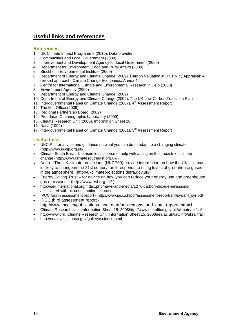## **Useful links and references**

#### **References**

- 1. UK Climate Impact Programme (2010). Data provider
- 2. Communities and Local Government (2009)
- 3. Improvement and Development Agency for local Government (2009)
- 4. Department for Environment, Food and Rural Affairs (2009)
- 5. Stockholm Environmental Institute (2009)
- 6. Department of Energy and Climate Change (2009). Carbon Valuation in UK Policy Appraisal: A revised approach. Climate Change Economics, Annex 4
- 7. Centre for International Climate and Environmental Research in Oslo (2008)
- 8. Environment Agency (2009)
- 9. Department of Energy and Climate Change (2009)
- 10. Department of Energy and Climate Change (2009). The UK Low Carbon Transition Plan
- 11. Intergovernmental Panel on Climate Change (2007). 4<sup>th</sup> Assessment Report
- 12. The Met Office (2009)
- 13. Regional Partnership Board (2009)
- 14. Proudman Oceanographic Laboratory (2009)
- 15. Climate Research Unit (2000). Information Sheet 10
- 16. Nasa (1992)
- 17. Intergovernmental Panel on Climate Change (2001). 3<sup>rd</sup> Assessment Report

## **Useful links**

- UKCIP for advice and guidance on what you can do to adapt to a changing climate. (http://www.ukcip.org.uk/)
- Climate South East the main local source of help with acting on the impacts of climate change (http://www.climatesoutheast.org.uk/)
- Defra The UK climate projections (UKCP09) provide information on how the UK's climate is likely to change in the 21st century, as it responds to rising levels of greenhouse gases in the atmosphere. (http://ukclimateprojections.defra.gov.uk/)
- Energy Saving Trust for advice on how you can reduce your energy use and greenhouse gas emissions. (http://www.est.org.uk/ )
- http://sei-international.org/index.php/news-and-media/1276-carbon-dioxide-emissionsassociated-with-uk-consumption-increase
- IPCC fourth assessment report http://www.ipcc.ch/pdf/assessment-report/ar4/syr/ar4\_syr.pdf
- IPCC third assessment report http://www.ipcc.ch/publications\_and\_data/publications\_and\_data\_reports.htm#1
- Climate Research Unit, Information Sheet 15, 2008http://www.metoffice.gov.uk/climate/uk/so/
- http://www.cru. Climate Research Unit, Information Sheet 15, 2008uea.ac.uk/cru/info/ukrainfall/
- http://sealevel.jpl.nasa.gov/gallery/science.html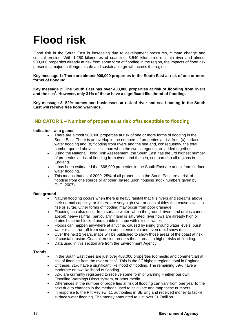## **Flood risk**

Flood risk in the South East is increasing due to development pressures, climate change and coastal erosion. With 1,250 kilometres of coastline, 3,540 kilometres of main river and almost 900,000 properties already at risk from some form of flooding in the region, the impacts of flood risk presents a major challenge to safe and sustainable growth across the region.

**Key message 1: There are almost 900,000 properties in the South East at risk of one or more forms of flooding.** 

**Key message 2: The South East has over 403,000 properties at risk of flooding from rivers and the sea<sup>1</sup> . However, only 31% of these have a significant likelihood of flooding.** 

**Key message 3: 52% homes and businesses at risk of river and sea flooding in the South East will receive free flood warnings.** 

## **INDICATOR 1 – Number of properties at risk of/susceptible to flooding**

#### **Indicator – at a glance**

- There are almost 900,000 properties at risk of one or more forms of flooding in the South East. There is an overlap in the numbers of properties at risk from (a) surface water flooding and (b) flooding from rivers and the sea and, consequently, the total number quoted above is less than when the two categories are added together.
- Using the National Flood Risk Assessment, the South East has the 3rd highest number of properties at risk of flooding from rivers and the sea, compared to all regions in England.
- It has been estimated that 668,900 properties in the South East are at risk from surface water flooding.
- This means that as of 2009, 25% of all properties in the South East are at risk of flooding from one source or another (based upon housing stock numbers given by CLG, 2007).

#### **Background**

- Natural flooding occurs when there is heavy rainfall that fills rivers and streams above their normal capacity, or if there are very high river or coastal tides that cause levels to rise or surge. Other forms of flooding may occur from poor drainage.
- Flooding can also occur from surface water, when the ground, rivers and drains cannot absorb heavy rainfall, particularly if land is saturated, river flows are already high or drains become blocked and unable to cope with excess water.
- Floods can happen anywhere at anytime, caused by rising ground water levels, burst water mains, run-off from sudden and intense rain and even rapid snow melt.
- Over the next 2 years, maps will be published to show those areas of the coast at risk of coastal erosion. Coastal erosion renders these areas to higher risks of flooding.
- Data used in this section are from the Environment Agency.

- In the South East there are just over 403,000 properties (domestic and commercial) at risk of flooding from the river or sea<sup>1</sup>. This is the 3<sup>rd</sup> highest regional total in England.
- Of these, 31% have a significant likelihood of flooding. The remaining 69% have a moderate or low likelihood of flooding<sup>1</sup>.
- 52% are currently registered to receive some form of warning either our own Floodline Warnings Direct system, or other media<sup>1</sup>.
- Differences in the number of properties at risk of flooding can vary from one year to the next due to changes in the methods used to calculate and map these numbers.
- In response to the Pitt Review, 11 authorities in SE England received money to tackle surface water flooding. The money amounted to just over £1.7million<sup>2</sup>.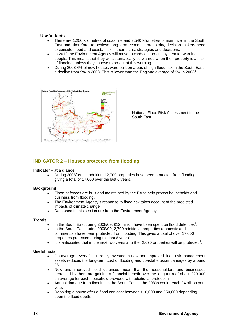#### **Useful facts**

- There are 1,250 kilometres of coastline and 3,540 kilometres of main river in the South East and, therefore, to achieve long-term economic prosperity, decision makers need to consider flood and coastal risk in their plans, strategies and decisions.
- In 2010 the Environment Agency will move towards an 'op-out' system for warning people. This means that they will automatically be warned when their property is at risk of flooding, unless they choose to op-out of this warning.
- During 2008 4% of new houses were built on areas of high flood risk in the South East, a decline from 9% in 2003. This is lower than the England average of 9% in 2008<sup>3</sup>.



National Flood Risk Assessment in the South East

### **INDICATOR 2 – Houses protected from flooding**

#### **Indicator – at a glance**

• During 2008/09, an additional 2,700 properties have been protected from flooding, giving a total of 17,000 over the last 6 years.

#### **Background**

- Flood defences are built and maintained by the EA to help protect households and business from flooding.
- The Environment Agency's response to flood risk takes account of the predicted impacts of climate change.
- Data used in this section are from the Environment Agency.

#### **Trends**

- In the South East during 2008/09, £12 million have been spent on flood defences<sup>4</sup>.
- In the South East during 2008/09, 2,700 additional properties (domestic and commercial) have been protected from flooding. This gives a total of over 17,000 properties protected during the last 6 years<sup>4</sup>.
- $\bullet$  It is anticipated that in the next two years a further 2,670 properties will be protected<sup>4</sup>.

#### **Useful facts**

- On average, every £1 currently invested in new and improved flood risk management assets reduces the long-term cost of flooding and coastal erosion damages by around £8.
- New and improved flood defences mean that the householders and businesses protected by them are gaining a financial benefit over the long-term of about £20,000 on average for each household provided with additional protection.
- Annual damage from flooding in the South East in the 2080s could reach £4 billion per year.
- Repairing a house after a flood can cost between £10,000 and £50,000 depending upon the flood depth.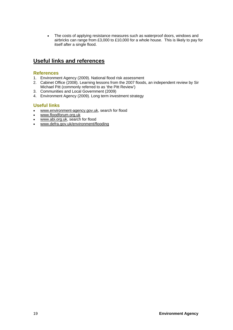• The costs of applying resistance measures such as waterproof doors, windows and airbricks can range from £3,000 to £10,000 for a whole house. This is likely to pay for itself after a single flood.

## **Useful links and references**

### **References**

- 1. Environment Agency (2009). National flood risk assessment
- 2. Cabinet Office (2008). Learning lessons from the 2007 floods, an independent review by Sir Michael Pitt (commonly referred to as 'the Pitt Review')
- 3. Communities and Local Government (2009)
- 4. Environment Agency (2009). Long term investment strategy

## **Useful links**

- www.environment-agency.gov.uk, search for flood
- www.floodforum.org.uk
- www.abi.org.uk, search for flood
- www.defra.gov.uk/environment/flooding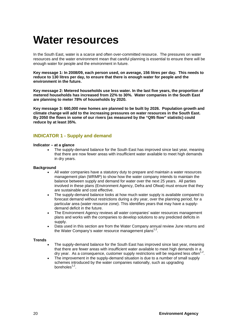## **Water resources**

In the South East, water is a scarce and often over-committed resource. The pressures on water resources and the water environment mean that careful planning is essential to ensure there will be enough water for people and the environment in future.

**Key message 1: In 2008/09, each person used, on average, 156 litres per day. This needs to reduce to 130 litres per day, to ensure that there is enough water for people and the environment in the future.** 

**Key message 2: Metered households use less water. In the last five years, the proportion of metered households has increased from 22% to 30%. Water companies in the South East are planning to meter 78% of households by 2020.** 

**Key message 3: 660,000 new homes are planned to be built by 2026. Population growth and climate change will add to the increasing pressures on water resources in the South East. By 2050 the flows in some of our rivers (as measured by the "Q95 flow" statistic) could reduce by at least 35%.** 

## **INDICATOR 1 - Supply and demand**

#### **Indicator – at a glance**

• The supply-demand balance for the South East has improved since last year, meaning that there are now fewer areas with insufficient water available to meet high demands in dry years.

#### **Background**

- All water companies have a statutory duty to prepare and maintain a water resources management plan (WRMP) to show how the water company intends to maintain the balance between supply and demand for water over the next 25 years. All parties involved in these plans (Environment Agency, Defra and Ofwat) must ensure that they are sustainable and cost effective.
- The supply-demand balance looks at how much water supply is available compared to forecast demand without restrictions during a dry year, over the planning period, for a particular area (water resource zone). This identifies years that may have a supplydemand deficit in the future.
- The Environment Agency reviews all water companies' water resources management plans and works with the companies to develop solutions to any predicted deficits in supply.
- Data used in this section are from the Water Company annual review June returns and the Water Company's water resource management plans<sup>1,2</sup>.

- The supply-demand balance for the South East has improved since last year, meaning that there are fewer areas with insufficient water available to meet high demands in a dry year. As a consequence, customer supply restrictions will be required less often<sup>1,2</sup>.
- The improvement in the supply-demand situation is due to a number of small supply schemes introduced by the water companies nationally, such as upgrading boreholes $1,2$ .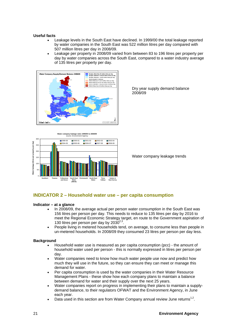#### **Useful facts**

- Leakage levels in the South East have declined. In 1999/00 the total leakage reported by water companies in the South East was 522 million litres per day compared with 507 million litres per day in 2008/09.
- Leakage per property in 2008/09 varied from between 83 to 196 litres per property per day by water companies across the South East, compared to a water industry average of 135 litres per property per day.





Dry year supply demand balance<br>2008/09

#### **INDICATOR 2 – Household water use – per capita consumption**

#### **Indicator – at a glance**

- In 2008/09, the average actual per person water consumption in the South East was 156 litres per person per day. This needs to reduce to 135 litres per day by 2016 to meet the Regional Economic Strategy target, en route to the Government aspiration of 130 litres per person per day by  $2030^{2,3}$ .
- People living in metered households tend, on average, to consume less than people in un-metered households. In 2008/09 they consumed 23 litres per person per day less.

- Household water use is measured as per capita consumption (pcc) the amount of household water used per person - this is normally expressed in litres per person per day.
- Water companies need to know how much water people use now and predict how much they will use in the future, so they can ensure they can meet or manage this demand for water.
- Per capita consumption is used by the water companies in their Water Resource Management Plans - these show how each company plans to maintain a balance between demand for water and their supply over the next 25 years.
- Water companies report on progress in implementing their plans to maintain a supplydemand balance, to their regulators OFWAT and the Environment Agency, in June each year.
- Data used in this section are from Water Company annual review June returns<sup>1,2</sup>.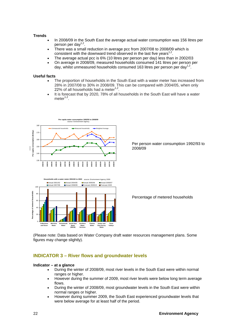#### **Trends**

- In 2008/09 in the South East the average actual water consumption was 156 litres per person per day<sup>1,2</sup>.
- There was a small reduction in average pcc from 2007/08 to 2008/09 which is consistent with the downward trend observed in the last five years<sup>1,2</sup>.
- The average actual pcc is 6% (10 litres per person per day) less than in 2002/03
- On average in 2008/09, measured households consumed 141 litres per person per day, whilst unmeasured households consumed 163 litres per person per day<sup>1,2</sup>.

#### **Useful facts**

- The proportion of households in the South East with a water meter has increased from 28% in 2007/08 to 30% in 2008/09. This can be compared with 2004/05, when only 22% of all households had a meter $1,2$ .
- It is forecast that by 2020, 78% of all households in the South East will have a water meter $1,2$ .



Per person water consumption 1992/93 to 2008/09



Percentage of metered households

(Please note: Data based on Water Company draft water resources management plans. Some figures may change slightly).

#### **INDICATOR 3 – River flows and groundwater levels**

#### **Indicator – at a glance**

- During the winter of 2008/09, most river levels in the South East were within normal ranges or higher.
- However during the summer of 2009, most river levels were below long term average flows.
- During the winter of 2008/09, most groundwater levels in the South East were within normal ranges or higher.
- However during summer 2009, the South East experienced groundwater levels that were below average for at least half of the period.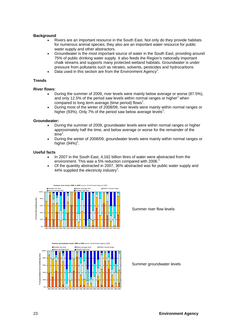#### **Background**

- Rivers are an important resource in the South East. Not only do they provide habitats for numerous animal species, they also are an important water resource for public water supply and other abstractors.
- Groundwater is the most important source of water in the South East, providing around 75% of public drinking water supply. It also feeds the Region's nationally important chalk streams and supports many protected wetland habitats. Groundwater is under pressure from pollutants such as nitrates, solvents, pesticides and hydrocarbons
- $\bullet$  Data used in this section are from the Environment Agency<sup>1</sup>.

#### **Trends**

#### **River flows:**

- During the summer of 2009, river levels were mainly below average or worse (87.5%), and only 12.5% of the period saw levels within normal ranges or higher<sup>1</sup> when compared to long term average (time period) flows<sup>1</sup>.
- During most of the winter of 2008/09, river levels were mainly within normal ranges or higher (93%). Only 7% of the period saw below average levels<sup>1</sup>.

#### **Groundwater:**

- During the summer of 2009, groundwater levels were within normal ranges or higher approximately half the time, and below average or worse for the remainder of the  $time<sup>1</sup>$ .
- During the winter of 2008/09, groundwater levels were mainly within normal ranges or higher  $(94%)^1$ .

#### **Useful facts**

- In 2007 in the South East, 4,162 billion litres of water were abstracted from the environment. This was a 5% reduction compared with 2006.<sup>1</sup>
- Of the quantity abstracted in 2007, 36% abstracted was for public water supply and 44% supplied the electricity industry<sup>1</sup>.



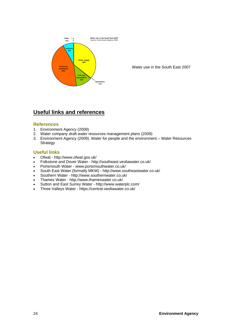

Water use in the South East 2007

## **Useful links and references**

#### **References**

- 1. Environment Agency (2009)
- 2. Water company draft water resources management plans (2009)
- 3. Environment Agency (2009). Water for people and the environment Water Resources **Strategy**

### **Useful links**

- Ofwat http://www.ofwat.gov.uk/
- Folkstone and Dover Water http://southeast.veoliawater.co.uk/
- Portsmouth Water www.portsmouthwater.co.uk/
- South East Water (formally MKW) http://www.southeastwater.co.uk/
- Southern Water http://www.southernwater.co.uk/
- Thames Water http://www.thameswater.co.uk/
- Sutton and East Surrey Water http://www.waterplc.com/
- Three Valleys Water https://central.veoliawater.co.uk/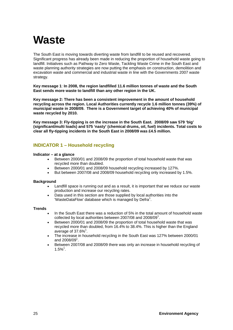## **Waste**

The South East is moving towards diverting waste from landfill to be reused and recovered. Significant progress has already been made in reducing the proportion of household waste going to landfill. Initiatives such as Pathway to Zero Waste, Tackling Waste Crime in the South East and waste planning authority strategies are now putting the emphasis on construction, demolition and excavation waste and commercial and industrial waste in line with the Governments 2007 waste strategy.

**Key message 1**: **In 2008, the region landfilled 11.6 million tonnes of waste and the South East sends more waste to landfill than any other region in the UK.** 

**Key message 2: There has been a consistent improvement in the amount of household recycling across the region. Local Authorities currently recycle 1.6 million tonnes (39%) of municipal waste in 2008/09. There is a Government target of achieving 40% of municipal waste recycled by 2010.** 

**Key message 3: Fly-tipping is on the increase in the South East. 2008/09 saw 579 'big' (significant/multi loads) and 575 'nasty' (chemical drums, oil, fuel) incidents. Total costs to clear all fly-tipping incidents in the South East in 2008/09 was £4.5 million.** 

### **INDICATOR 1 – Household recycling**

#### **Indicator – at a glance**

- Between 2000/01 and 2008/09 the proportion of total household waste that was recycled more than doubled.
- Between 2000/01 and 2008/09 household recycling increased by 127%.
- But between 2007/08 and 2008/09 household recycling only increased by 1.5%.

#### **Background**

- Landfill space is running out and as a result, it is important that we reduce our waste production and increase our recycling rates.
- Data used in this section are those supplied by local authorities into the 'WasteDataFlow' database which is managed by Defra<sup>1</sup>.

- In the South East there was a reduction of 5% in the total amount of household waste collected by local authorities between 2007/08 and 2008/09 $^1$ .
- Between 2000/01 and 2008/09 the proportion of total household waste that was recycled more than doubled, from 16.4% to 38.4%. This is higher than the England average of 37.6% $^1$ .
- The increase in household recycling in the South East was 127% between 2000/01 and 2008/09<sup>1</sup>.
- Between 2007/08 and 2008/09 there was only an increase in household recycling of  $1.5\%$ <sup>1</sup>.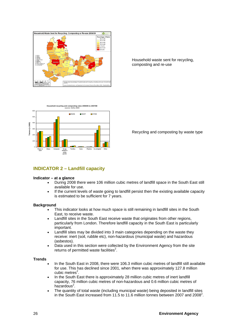

Household waste sent for recycling, composting and re-use



Recycling and composting by waste type

## **INDICATOR 2 – Landfill capacity**

#### **Indicator – at a glance**

- During 2008 there were 106 million cubic metres of landfill space in the South East still available for use.
- If the current levels of waste going to landfill persist then the existing available capacity is estimated to be sufficient for 7 years.

#### **Background**

- This indicator looks at how much space is still remaining in landfill sites in the South East, to receive waste.
- Landfill sites in the South East receive waste that originates from other regions, particularly from London. Therefore landfill capacity in the South East is particularly important.
- Landfill sites may be divided into 3 main categories depending on the waste they receive: inert (soil, rubble etc), non-hazardous (municipal waste) and hazardous (asbestos).
- Data used in this section were collected by the Environment Agency from the site returns of permitted waste facilities $2$ .

- In the South East in 2008, there were 106.3 million cubic metres of landfill still available for use. This has declined since 2001, when there was approximately 127.8 million cubic metres<sup>2</sup>.
- In the South East there is approximately 28 million cubic metres of inert landfill capacity, 76 million cubic metres of non-hazardous and 0.6 million cubic metres of hazardous<sup>2</sup>.
- The quantity of total waste (including municipal waste) being deposited in landfill sites in the South East increased from 11.5 to 11.6 million tonnes between 2007 and 2008<sup>2</sup>.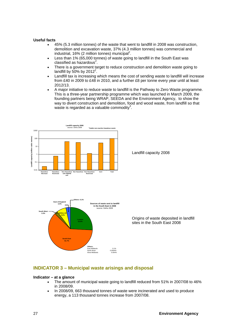#### **Useful facts**

- 45% (5.3 million tonnes) of the waste that went to landfill in 2008 was construction, demolition and excavation waste, 37% (4.3 million tonnes) was commercial and industrial, 16% (2 million tonnes) municipal<sup>2</sup>.
- Less than 1% (65,000 tonnes) of waste going to landfill in the South East was  $classified$  as hazardous<sup>2</sup>.
- There is a government target to reduce construction and demolition waste going to landfill by  $50\%$  by 2012<sup>2</sup>.
- Landfill tax is increasing which means the cost of sending waste to landfill will increase from £40 in 2009 to £48 in 2010, and a further £8 per tonne every year until at least 2012/13.
- A major initiative to reduce waste to landfill is the Pathway to Zero Waste programme. This is a three-year partnership programme which was launched in March 2009, the founding partners being WRAP, SEEDA and the Environment Agency, to show the way to divert construction and demolition, food and wood waste, from landfill so that waste is regarded as a valuable commodity<sup>3</sup>.



Landfill capacity 2008



Origins of waste deposited in landfill sites in the South East 2008

#### **INDICATOR 3 – Municipal waste arisings and disposal**

#### **Indicator – at a glance**

- The amount of municipal waste going to landfill reduced from 51% in 2007/08 to 46% in 2008/09.
- In 2008/09, 663 thousand tonnes of waste were incinerated and used to produce energy, a 113 thousand tonnes increase from 2007/08.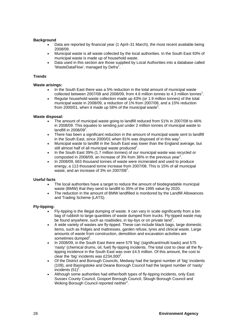#### **Background**

- Data are reported by financial year (1 April–31 March), the most recent available being 2008/09.
- Municipal waste is all waste collected by the local authorities. In the South East 93% of municipal waste is made up of household waste.
- Data used in this section are those supplied by Local Authorities into a database called 'WasteDataFlow', managed by Defra $^1$ .

#### **Trends**

#### **Waste arisings:**

- In the South East there was a 5% reduction in the total amount of municipal waste collected between 2007/08 and 2008/09, from 4.6 million tonnes to 4.3 million tonnes<sup>1</sup>.
- Regular household waste collection made up 43% (or 1.9 million tonnes) of the total municipal waste in 2008/09, a reduction of 1% from 2007/08, and a 15% reduction from 2000/01, when it made up 58% of the municipal waste<sup>1</sup>.

#### **Waste disposal:**

- The amount of municipal waste going to landfill reduced from 51% in 2007/08 to 46% in 2008/09. This equates to sending just under 2 million tonnes of municipal waste to landfill in 2008/09 $1$ .
- There has been a significant reduction in the amount of municipal waste sent to landfill in the South East, since 2000/01 when 81% was disposed of in this way<sup>1</sup>.
- Municipal waste to landfill in the South East was lower than the England average, but still almost half of all municipal waste produced<sup>1</sup>.
- In the South East 39% (1.7 million tonnes) of our municipal waste was recycled or composted in 2008/09, an increase of 3% from 36% in the previous year<sup>1</sup>.
- In 2008/09, 663 thousand tonnes of waste were incinerated and used to produce energy, a 113 thousand tonne increase from 2007/08. This is 15% of all municipal waste, and an increase of 3% on 2007/08 $^{\circ}$ .

#### **Useful facts**

- The local authorities have a target to reduce the amount of biodegradable municipal waste (BMW) that they send to landfill to 35% of the 1995 value by 2020.
- The reduction in the amount of BMW landfilled is monitored by the Landfill Allowances and Trading Scheme (LATS).

#### **Fly-tipping:**

- Fly-tipping is the illegal dumping of waste. It can vary in scale significantly from a bin bag of rubbish to large quantities of waste dumped from trucks. Fly-tipped waste may be found anywhere, such as roadsides, in lay-bys or on private land<sup>2</sup>.
- A wide variety of wastes are fly-tipped. These can include black bags, large domestic items, such as fridges and mattresses, garden refuse, tyres and clinical waste. Large amounts of waste from construction, demolition and excavation activities are sometimes dumped<sup>2</sup>.
- In 2008/09, in the South East there were 579 'big' (significant/multi loads) and 575 'nasty' (chemical drums, oil, fuel) fly-tipping incidents. The total cost to clear all the flytipping incidence in the South East was over £4.5 million. Of this amount, the cost to clear the 'big' incidents was £234,000 $^2$ .
- Of the District and Borough Councils, Medway had the largest number of 'big' incidents (109), and Basingstoke and Deane Borough Council had the largest number of 'nasty'  $incidents$  (51)<sup>2</sup>.
- Although some authorities had either/both types of fly-tipping incidents, only East Sussex County Council, Gosport Borough Council, Slough Borough Council and Woking Borough Council reported neither<sup>2</sup>.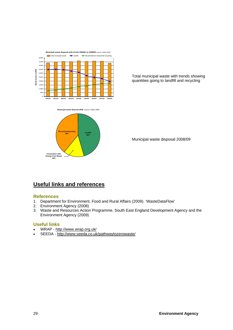



Total municipal waste with trends showing quantities going to landfill and recycling

Municipal waste disposal 2008/09

## **Useful links and references**

## **References**

- 1. Department for Environment, Food and Rural Affairs (2009). 'WasteDataFlow'
- 2. Environment Agency (2008)
- 3. Waste and Resources Action Programme, South East England Development Agency and the Environment Agency (2009)

## **Useful links**

- WRAP http://www.wrap.org.uk/
- SEEDA http://www.seeda.co.uk/pathwaytozerowaste/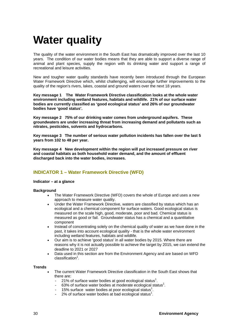## **Water quality**

The quality of the water environment in the South East has dramatically improved over the last 10 years. The condition of our water bodies means that they are able to support a diverse range of animal and plant species, supply the region with its drinking water and support a range of recreational and leisure activities.

New and tougher water quality standards have recently been introduced through the European Water Framework Directive which, whilst challenging, will encourage further improvements to the quality of the region's rivers, lakes, coastal and ground waters over the next 18 years.

**Key message 1 The Water Framework Directive classification looks at the whole water environment including wetland features, habitats and wildlife. 21% of our surface water bodies are currently classified as 'good ecological status' and 26% of our groundwater bodies have 'good status'.** 

**Key message 2 75% of our drinking water comes from underground aquifers. These groundwaters are under increasing threat from increasing demand and pollutants such as nitrates, pesticides, solvents and hydrocarbons.** 

**Key message 3 The number of serious water pollution incidents has fallen over the last 5 years from 102 to 48 per year.** 

**Key message 4 New development within the region will put increased pressure on river and coastal habitats as both household water demand, and the amount of effluent discharged back into the water bodies, increases.** 

## **INDICATOR 1 – Water Framework Directive (WFD)**

#### **Indicator – at a glance**

#### **Background**

- The Water Framework Directive (WFD) covers the whole of Europe and uses a new approach to measure water quality.
- Under the Water Framework Directive, waters are classified by status which has an ecological and a chemical component for surface waters. Good ecological status is measured on the scale high, good, moderate, poor and bad. Chemical status is measured as good or fail. Groundwater status has a chemical and a quantitative component
- Instead of concentrating solely on the chemical quality of water as we have done in the past, it takes into account ecological quality - that is the whole water environment including wetland features, habitats and wildlife.
- Our aim is to achieve 'good status' in all water bodies by 2015. Where there are reasons why it is not actually possible to achieve the target by 2015, we can extend the deadline to 2021 or 2027
- Data used in this section are from the Environment Agency and are based on WFD classification<sup>1</sup>.

- The current Water Framework Directive classification in the South East shows that there are:
	- $-$  21% of surface water bodies at good ecological status<sup>1</sup>.
	- $-$  63% of surface water bodies at moderate ecological status<sup>1</sup>.
	- $-$  15% surface water bodies at poor ecological status<sup>1</sup>.
	- $-$  2% of surface water bodies at bad ecological status<sup>1</sup>.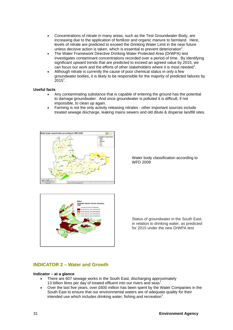- Concentrations of nitrate in many areas, such as the Test Groundwater Body, are increasing due to the application of fertilizer and organic manure to farmland. Here, levels of nitrate are predicted to exceed the Drinking Water Limit in the near future unless decisive action is taken, which is essential to prevent deterioration<sup>1</sup>.
- The Water Framework Directive Drinking Water Protected Area (DrWPA) test investigates contaminant concentrations recorded over a period of time. By identifying significant upward trends that are predicted to exceed an agreed value by 2015, we can focus our work and the efforts of other stakeholders where it is most needed<sup>1</sup>.
- Although nitrate is currently the cause of poor chemical status in only a few groundwater bodies, it is likely to be responsible for the majority of predicted failures by  $2015^1$ .

#### **Useful facts**

- Any contaminating substance that is capable of entering the ground has the potential to damage groundwater. And once groundwater is polluted it is difficult, if not impossible, to clean up again.
- Farming is not the only activity releasing nitrates other important sources include treated sewage discharge, leaking mains sewers and old dilute & disperse landfill sites.



Water body classification according to WFD 2009



Status of groundwater in the South East, in relation to drinking water, as predicted for 2015 under the new DrWPA test

## **INDICATOR 2 – Water and Growth**

#### **Indicator – at a glance**

- There are 607 sewage works in the South East, discharging approximately 13 billion litres per day of treated effluent into our rivers and seas<sup>1</sup>.
- Over the last five years, over £600 million has been spent by the Water Companies in the South East to ensure that our environmental waters are of adequate quality for their intended use which includes drinking water, fishing and recreation $1$ .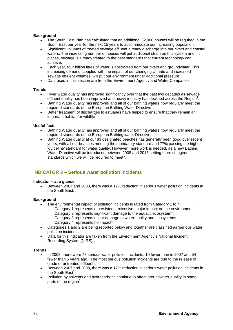#### **Background**

- The South East Plan has calculated that an additional 32,000 houses will be required in the South East per year for the next 15 years to accommodate our increasing population.
- Significant volumes of treated sewage effluent already discharge into our rivers and coastal waters. The increasing number of houses will put additional strain on this system and, in places, sewage is already treated to the best standards that current technology can achieve.
- Each year, four billion litres of water is abstracted from our rivers and groundwater. This increasing demand, coupled with the impact of our changing climate and increased sewage effluent volumes, will put our environment under additional pressure.
- Data used in this section are from the Environment Agency and Water Companies.

#### **Trends**

- River water quality has improved significantly over that the past two decades as sewage effluent quality has been improved and heavy industry has declined across the Region<sup>1</sup>.
- Bathing Water quality has improved and all of our bathing waters now regularly meet the required standards of the European Bathing Water Directive<sup>1</sup>.
- Better treatment of discharges to estuaries have helped to ensure that they remain an important habitat for wildlife $1$ .

#### **Useful facts**

- Bathing Water quality has improved and all of our bathing waters now regularly meet the required standards of the European Bathing water Directive.
- Bathing Water quality at our 83 designated beaches has generally been good over recent years, with all our beaches meeting the mandatory standard and 77% passing the higher 'guideline' standard for water quality. However, more work is needed, as a new Bathing Water Directive will be introduced between 2008 and 2015 setting more stringent standards which we will be required to meet<sup>1</sup>.

#### **INDICATOR 3 – Serious water pollution incidents**

#### **Indicator – at a glance**

• Between 2007 and 2008, there was a 17% reduction in serious water pollution incidents in the South East.

#### **Background**

- The environmental impact of pollution incidents is rated from Category 1 to 4:
	- $-$  Category 1 represents a persistent, extensive, major impact on the environment<sup>1</sup>.
	- − Category 2 represents significant damage to the aquatic ecosystem<sup>1</sup>.
	- − Category 3 represents minor damage to water quality and ecosystems<sup>1</sup>.
	- − Category 4 represents no impact<sup>1</sup>.
- Categories 1 and 2 are being reported below and together are classified as 'serious water pollution incidents'.
- Data for this indicator are taken from the Environment Agency's National Incident Recording System  $(NIRS)^1$ .

#### **Trends**

- In 2008, there were 48 serious water pollution incidents, 10 fewer than in 2007 and 54 fewer than 5 years ago. The most serious pollution incidents are due to the release of crude or untreated effluent<sup>1</sup>.
- Between 2007 and 2008, there was a 17% reduction in serious water pollution incidents in the South East<sup>1</sup>.
- Pollution by solvents and hydrocarbons continue to affect groundwater quality in some parts of the region<sup>1</sup>.

*.*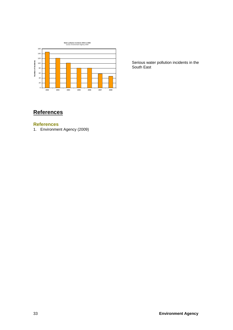

Serious water pollution incidents in the South East

## **References**

#### **References**

1. Environment Agency (2009)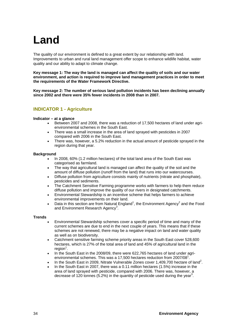## **Land**

The quality of our environment is defined to a great extent by our relationship with land. Improvements to urban and rural land management offer scope to enhance wildlife habitat, water quality and our ability to adapt to climate change.

**Key message 1: The way the land is managed can affect the quality of soils and our water environment, and action is required to improve land management practices in order to meet the requirements of the Water Framework Directive.** 

**Key message 2: The number of serious land pollution incidents has been declining annually since 2002 and there were 35% fewer incidents in 2008 than in 2007.** 

## **INDICATOR 1 - Agriculture**

#### **Indicator – at a glance**

- Between 2007 and 2008, there was a reduction of 17,500 hectares of land under agrienvironmental schemes in the South East.
- There was a small increase in the area of land sprayed with pesticides in 2007 compared with 2006 in the South East.
- There was, however, a 5.2% reduction in the actual amount of pesticide sprayed in the region during that year.

#### **Background**

- In 2008, 60% (1.2 million hectares) of the total land area of the South East was categorised as farmland.
- The way that agricultural land is managed can affect the quality of the soil and the amount of diffuse pollution (runoff from the land) that runs into our watercourses.
- Diffuse pollution from agriculture consists mainly of nutrients (nitrate and phosphate), pesticides and sediments.
- The Catchment Sensitive Farming programme works with farmers to help them reduce diffuse pollution and improve the quality of our rivers in designated catchments.
- Environmental Stewardship is an incentive scheme that helps farmers to achieve environmental improvements on their land.
- Data in this section are from Natural England<sup>1</sup>, the Environment Agency<sup>2</sup> and the Food and Environment Research Agency<sup>3</sup>.

- Environmental Stewardship schemes cover a specific period of time and many of the current schemes are due to end in the next couple of years. This means that if these schemes are not renewed, there may be a negative impact on land and water quality as well as on biodiversity.
- Catchment sensitive farming scheme priority areas in the South East cover 528,600 hectares, which is 27% of the total area of land and 45% of agricultural land in the  $region<sup>1</sup>$ .
- In the South East in the 2008/09, there were 622,765 hectares of land under agrienvironmental schemes. This was a 17,500 hectares reduction from 2007/08 $^1$ .
- In the South East in 2009, Nitrate Vulnerable Zones cover 1,409,700 hectare of land<sup>2</sup>.
- In the South East in 2007, there was a 0.11 million hectares (1.5%) increase in the area of land sprayed with pesticide, compared with 2006. There was, however, a decrease of 120 tonnes (5.2%) in the quantity of pesticide used during the year<sup>3</sup>.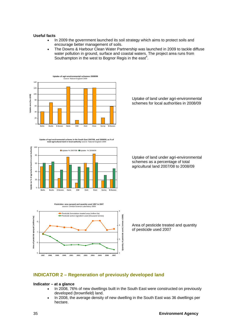#### **Useful facts**

- In 2009 the government launched its soil strategy which aims to protect soils and encourage better management of soils.
- The Downs & Harbour Clean Water Partnership was launched in 2009 to tackle diffuse water pollution in ground, surface and coastal waters. The project area runs from Southampton in the west to Bognor Regis in the east<sup>4</sup>.



**Uptake of agri-environmental schems in the South East 2007/08 and 2008/09, as % of total agricultural land in local authority** source: Natural England 2009





Uptake of land under agri-environmental schemes for local authorities in 2008/09

Uptake of land under agri-environmental schemes as a percentage of total agricultural land 2007/08 to 2008/09

Area of pesticide treated and quantity of pesticide used 2007

### **INDICATOR 2 – Regeneration of previously developed land**

#### **Indicator – at a glance**

- In 2008, 76% of new dwellings built in the South East were constructed on previously developed (brownfield) land.
- In 2008, the average density of new dwelling in the South East was 36 dwellings per hectare.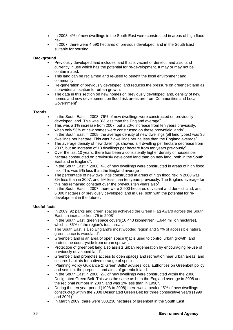- In 2008, 4% of new dwellings in the South East were constructed in areas of high flood risk.
- In 2007, there were 4,590 hectares of previous developed land in the South East suitable for housing.

#### **Background**

- Previously developed land includes land that is vacant or derelict, and also land currently in use which has the potential for re-development. It may or may not be contaminated.
- This land can be reclaimed and re-used to benefit the local environment and community.
- Re-generation of previously developed land reduces the pressure on greenbelt land as it provides a location for urban growth.
- The data in this section on new homes on previously developed land, density of new homes and new development on flood risk areas are from Communities and Local Government<sup>5</sup>.

#### **Trends**

- In the South East in 2008, 76% of new dwellings were constructed on previously developed land. This was 3% less than the England average<sup>5</sup>.
- This was a 1% increase from 2007, but a 20% increase from ten years previously, when only 56% of new homes were constructed on these brownfield lands<sup>5</sup>.
- In the South East in 2008, the average density of new dwellings (all land types) was 36 dwellings per hectare. This was 7 dwellings per ha less than the England average<sup>5</sup>.
- The average density of new dwellings showed a 4 dwelling per hectare decrease from 2007, but an increase of 13 dwellings per hectare from ten years previously<sup>5</sup>.
- Over the last 10 years, there has been a consistently higher density of houses per hectare constructed on previously developed land than on new land, both in the South East and in England<sup>5</sup>.
- In the South East in 2008, 4% of new dwellings were constructed in areas of high flood risk. This was 5% less than the England average<sup>5</sup>.
- The percentage of new dwellings constructed in areas of high flood risk in 2008 was 3% less than in 2007, and 5% less than ten years previously. The England average for this has remained constant over the previous ten years also<sup>5</sup>.
- In the South East in 2007, there were 2,900 hectares of vacant and derelict land, and 6,090 hectares of previously developed land in use, both with the potential for redevelopment in the future<sup>5</sup>.

#### **Useful facts**

- In 2009, 92 parks and green spaces achieved the Green Flag Award across the South East, an increase from 75 in 2008<sup>6</sup>.
- In the South East, green space covers 16,443 kilometres<sup>2</sup> (1.644 million hectares), which is 85% of the region's total area<sup>7</sup>.
- The South East is also England's most wooded region and 57% of accessible natural green space is woodland<sup>7</sup>.
- Greenbelt land is an area of open space that is used to control urban growth, and protect the countryside from urban sprawl<sup>7</sup>.
- Protection of greenbelt land also assists urban regeneration by encouraging re-use of previously developed land $<sup>7</sup>$ .</sup>
- Greenbelt land promotes access to open spaces and recreation near urban areas, and secures habitats for a diverse range of species<sup>7</sup>.
- 'Planning Policy Guidance 2: Green Belts' advises local authorities on Greenbelt policy and sets out the purposes and aims of greenbelt land.
- In the South East in 2008, 2% of new dwellings were constructed within the 2008 Designated Green Belt. This was the same as both the England average in 2008 and the regional number in 2007, and was 1% less than in 1998 $5$ .
- During the ten year period (1998 to 2008) there was a peak of 5% of new dwellings constructed within the 2008 Designated Green Belt for three consecutive years (1999 and 2001) $^{5}$ .
- In March 2009, there were 308,230 hectares of greenbelt in the South East<sup>7</sup>.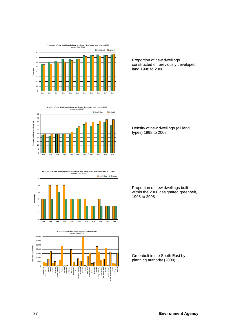



**Density of new dwellings built on previously developed land 1998 to 2008**  source: CLG 2010 ■South East ■Eng 50 45 40 Density (dwellings per hectare) **Density (dwellings per hectare)** 35 30 25 20 15 10 5 0

**Proportion of new dwellings built within the 2008 designated greenbelt 1997 to 2007**  source: GLC 2010 2 3 4 5 6 South East England

**1998 1999 2000 2001 2002 2003 2004 2005 2006 2007 2008**

**1998 1999 2000 2001 2002 2003 2004 2005 2006 2007 2008**



Proportion of new dwellings constructed on previously developed land 1998 to 2008

Density of new dwellings (all land types) 1998 to 2008

Proportion of new dwellings built within the 2008 designated greenbelt, 1998 to 2008

Greenbelt in the South East by planning authority (2009)

0 1

**Percentage**

Percentage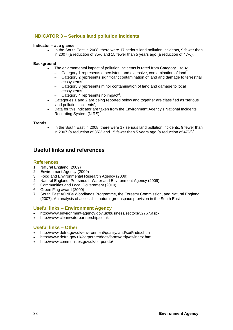## **INDICATOR 3 – Serious land pollution incidents**

#### **Indicator – at a glance**

• In the South East in 2008, there were 17 serious land pollution incidents, 9 fewer than in 2007 (a reduction of 35% and 15 fewer than 5 years ago (a reduction of 47%).

#### **Background**

- The environmental impact of pollution incidents is rated from Category 1 to 4:
	- − Category 1 represents a persistent and extensive, contamination of land<sup>2</sup>.
	- − Category 2 represents significant contamination of land and damage to terrestrial ecosystems<sup>2</sup>.
	- − Category 3 represents minor contamination of land and damage to local ecosystems<sup>2</sup>.
	- $-$  Category 4 represents no impact<sup>2</sup>.
- Categories 1 and 2 are being reported below and together are classified as 'serious land pollution incidents',
- Data for this indicator are taken from the Environment Agency's National Incidents Recording System  $(NIRS)^2$ .

#### **Trends**

• In the South East in 2008, there were 17 serious land pollution incidents, 9 fewer than in 2007 (a reduction of 35% and 15 fewer than 5 years ago (a reduction of 47%)<sup>2</sup>.

## **Useful links and references**

#### **References**

- 1. Natural England (2009)
- 2. Environment Agency (2009)
- 3. Food and Environmental Research Agency (2009)
- 4. Natural England, Portsmouth Water and Environment Agency (2009)
- 5. Communities and Local Government (2010)
- 6. Green Flag award (2009)
- 7. South East AONBs Woodlands Programme, the Forestry Commission, and Natural England (2007). An analysis of accessible natural greenspace provision in the South East

#### **Useful links – Environment Agency**

- http://www.environment-agency.gov.uk/business/sectors/32767.aspx
- http://www.cleanwaterpartnership.co.uk

#### **Useful links – Other**

- http://www.defra.gov.uk/environment/quality/land/soil/index.htm
- http://www.defra.gov.uk/corporate/docs/forms/erdp/es/index.htm
- http://www.communities.gov.uk/corporate/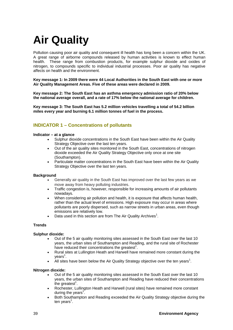# **Air Quality**

Pollution causing poor air quality and consequent ill health has long been a concern within the UK. A great range of airborne compounds released by human activities is known to effect human health. These range from combustion products, for example sulphur dioxide and oxides of nitrogen, to compounds specific to individual industrial processes. Poor air quality has negative affects on health and the environment.

**Key message 1: In 2009 there were 44 Local Authorities in the South East with one or more Air Quality Management Areas. Five of these areas were declared in 2009.** 

**Key message 2: The South East has an asthma emergency admission ratio of 20% below the national average overall, and a rate of 17% below the national average for children.** 

**Key message 3: The South East has 5.2 million vehicles travelling a total of 54.2 billion miles every year and burning 6.1 million tonnes of fuel in the process.** 

## **INDICATOR 1 – Concentrations of pollutants**

#### **Indicator – at a glance**

- Sulphur dioxide concentrations in the South East have been within the Air Quality Strategy Objective over the last ten years.
- Out of the air quality sites monitored in the South East, concentrations of nitrogen dioxide exceeded the Air Quality Strategy Objective only once at one site (Southampton).
- Particulate matter concentrations in the South East have been within the Air Quality Strategy Objective over the last ten years.

#### **Background**

- Generally air quality in the South East has improved over the last few years as we move away from heavy polluting industries.
- Traffic congestion is, however, responsible for increasing amounts of air pollutants nowadays.
- When considering air pollution and health, it is exposure that affects human health, rather than the actual level of emissions. High exposure may occur in areas where pollutants are poorly dispersed, such as narrow streets in urban areas, even though emissions are relatively low.
- Data used in this section are from The Air Quality Archives<sup>1</sup>.

#### **Trends**

#### **Sulphur dioxide:**

- Out of the 5 air quality monitoring sites assessed in the South East over the last 10 years, the urban sites of Southampton and Reading, and the rural site of Rochester have reduced their concentrations the greatest $1$ .
- Rural sites at Lullington Heath and Harwell have remained more constant during the years<sup>1</sup>.
- All sites have been below the Air Quality Strategy objective over the ten years<sup>1</sup>.

#### **Nitrogen dioxide:**

- Out of the 5 air quality monitoring sites assessed in the South East over the last 10 years, the urban sites of Southampton and Reading have reduced their concentrations the greatest<sup>1</sup>.
- Rochester, Lullington Heath and Harwell (rural sites) have remained more constant during the years<sup>1</sup>.
- Both Southampton and Reading exceeded the Air Quality Strategy objective during the ten years<sup>1</sup>.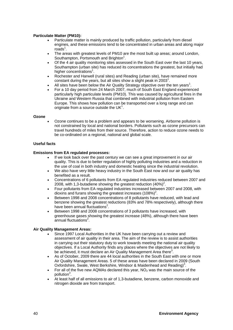#### **Particulate Matter (PM10):**

- Particulate matter is mainly produced by traffic pollution, particularly from diesel engines, and these emissions tend to be concentrated in urban areas and along major  $\overline{\text{roads}}^1$ .
- The areas with greatest levels of PM10 are the most built up areas; around London, Southampton, Portsmouth and Brighton<sup>1</sup>.
- Of the 4 air quality monitoring sites assessed in the South East over the last 10 years, Southampton (urban site) has reduced its concentrations the greatest, but initially had higher concentrations<sup>1</sup>.
- Rochester and Harwell (rural sites) and Reading (urban site), have remained more constant during the years, but all sites show a slight peak in  $2003<sup>1</sup>$ .
- All sites have been below the Air Quality Strategy objective over the ten years<sup>1</sup>.
- For a 10 day period from 24 March 2007, much of South East England experienced particularly high particulate levels (PM10). This was caused by agricultural fires in the Ukraine and Western Russia that combined with industrial pollution from Eastern Europe. This shows how pollution can be transported over a long range and can originate from a source outside the UK $1$ .

#### **Ozone**

• Ozone continues to be a problem and appears to be worsening. Airborne pollution is not constrained by local and national borders. Pollutants such as ozone precursors can travel hundreds of miles from their source. Therefore, action to reduce ozone needs to be co-ordinated on a regional, national and global scale.

#### **Useful facts**

#### **Emissions from EA regulated processes:**

- If we look back over the past century we can see a great improvement in our air quality. This is due to better regulation of highly polluting industries and a reduction in the use of coal in both industry and domestic heating since the industrial revolution.
- We also have very little heavy industry in the South East now and our air quality has benefited as a result.
- Concentrations of 6 pollutants from EA regulated industries reduced between 2007 and 2008, with 1,3-butadiene showing the greatest reduction  $(40\%)^2$ .
- Four pollutants from EA regulated industries increased between 2007 and 2008, with dioxins and furans showing the greatest increases (108%)<sup>2</sup>.
- Between 1998 and 2008 concentrations of 8 pollutants have reduced, with lead and benzene showing the greatest reductions (83% and 78% respectively), although there have been annual fluctuations<sup>2</sup>.
- Between 1998 and 2008 concentrations of 3 pollutants have increased, with greenhouse gases showing the greatest increase (48%), although there have been annual fluctuations<sup>2</sup>.

#### **Air Quality Management Areas:**

- Since 1997 Local Authorities in the UK have been carrying out a review and assessment of air quality in their area. The aim of the review is to assist authorities in carrying out their statutory duty to work towards meeting the national air quality objectives. If a Local Authority finds any places where the objectives are not likely to be achieved, it must declare an Air Quality Management Area there<sup>3</sup>.
- As of October, 2009 there are 44 local authorities in the South East with one or more Air Quality Management Areas. 5 of these areas have been declared in 2009 (South Oxfordshire, Swale, West Berkshire, Windsor & Maidenhead and Reading)<sup>3</sup>.
- For all of the five new AQMAs declared this year,  $NO<sub>2</sub>$  was the main source of the pollution<sup>3</sup>.
- At least half of all emissions to air of 1,3-butadiene, benzene, carbon monoxide and nitrogen dioxide are from transport.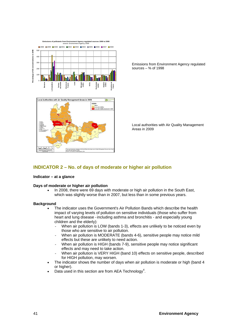

Emissions from Environment Agency regulated sources  $-$  % of 1998

Local authorities with Air Quality Management Areas in 2009

### **INDICATOR 2 – No. of days of moderate or higher air pollution**

#### **Indicator – at a glance**

#### **Days of moderate or higher air pollution**

• In 2008, there were 69 days with moderate or high air pollution in the South East, which was slightly worse than in 2007, but less than in some previous years.

- The indicator uses the Government's Air Pollution Bands which describe the health impact of varying levels of pollution on sensitive individuals (those who suffer from heart and lung disease -including asthma and bronchitis - and especially young children and the elderly):
	- When air pollution is LOW (bands 1-3), effects are unlikely to be noticed even by those who are sensitive to air pollution.
	- When air pollution is MODERATE (bands 4-6), sensitive people may notice mild effects but these are unlikely to need action.
	- When air pollution is HIGH (bands 7-9), sensitive people may notice significant effects and may need to take action.
	- When air pollution is VERY HIGH (band 10) effects on sensitive people, described for HIGH pollution, may worsen.
- The indicator shows the number of days when air pollution is moderate or high (band 4 or higher).
- Data used in this section are from AEA Technology<sup>4</sup>.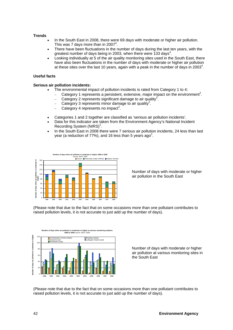#### **Trends**

- In the South East in 2008, there were 69 days with moderate or higher air pollution. This was 7 days more than in 2007 $4$ .
- There have been fluctuations in the number of days during the last ten years, with the greatest number of days being in 2003, when there were 133 days<sup>4</sup>.
- Looking individually at 5 of the air quality monitoring sites used in the South East, there have also been fluctuations in the number of days with moderate or higher air pollution at these sites over the last 10 years, again with a peak in the number of days in 2003<sup>4</sup>.

#### **Useful facts**

#### **Serious air pollution incidents:**

- The environmental impact of pollution incidents is rated from Category 1 to 4:
	- − Category 1 represents a persistent, extensive, major impact on the environment<sup>2</sup>.
	- − Category 2 represents significant damage to air quality<sup>2</sup>.
	- $-$  Category 3 represents minor damage to air quality<sup>2</sup>.
	- − Category 4 represents no impact<sup>2</sup>.
- Categories 1 and 2 together are classified as 'serious air pollution incidents'.
- Data for this indicator are taken from the Environment Agency's National Incident Recording System  $(NIRS)^2$ .
- In the South East in 2008 there were 7 serious air pollution incidents, 24 less than last year (a reduction of 77%), and 16 less than 5 years ago<sup>2</sup>.



Number of days with moderate or higher air pollution in the South East

(Please note that due to the fact that on some occasions more than one pollutant contributes to raised pollution levels, it is not accurate to just add up the number of days).



Number of days with moderate or higher air pollution at various monitoring sites in the South East

(Please note that due to the fact that on some occasions more than one pollutant contributes to raised pollution levels, it is not accurate to just add up the number of days).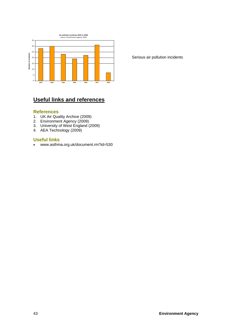

Serious air pollution incidents

## **Useful links and references**

#### **References**

- 1. UK Air Quality Archive (2009)
- 2. Environment Agency (2009)
- 3. University of West England (2009)
- 4. AEA Technology (2009)

### **Useful links**

• www.asthma.org.uk/document.rm?id=530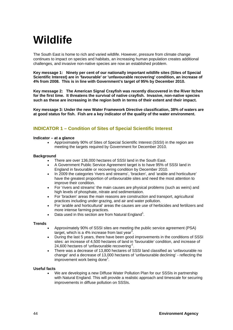# **Wildlife**

The South East is home to rich and varied wildlife. However, pressure from climate change continues to impact on species and habitats, an increasing human population creates additional challenges, and invasive non-native species are now an established problem.

**Key message 1: Ninety per cent of our nationally important wildlife sites (Sites of Special Scientific Interest) are in 'favourable' or 'unfavourable recovering' condition, an increase of 4% from 2008. This is in line with Government's target of 95% by December 2010.** 

**Key message 2: The American Signal Crayfish was recently discovered in the River Itchen for the first time. It threatens the survival of native crayfish. Invasive, non-native species such as these are increasing in the region both in terms of their extent and their impact.**

**Key message 3: Under the new Water Framework Directive classification, 38% of waters are at good status for fish. Fish are a key indicator of the quality of the water environment.**

## **INDICATOR 1 – Condition of Sites of Special Scientific Interest**

#### **Indicator – at a glance**

• Approximately 90% of Sites of Special Scientific Interest (SSSI) in the region are meeting the targets required by Government for December 2010.

#### **Background**

- There are over 136,000 hectares of SSSI land in the South East.
- A Government Public Service Agreement target is to have 95% of SSSI land in England in favourable or recovering condition by December 2010.
- In 2009 the categories 'rivers and streams', 'bracken', and 'arable and horticulture' have the greatest proportion of unfavourable sites and need the most attention to improve their condition.
- For 'rivers and streams' the main causes are physical problems (such as weirs) and high levels of phosphate, nitrate and sedimentation.
- For 'bracken' areas the main reasons are construction and transport, agricultural practices including under grazing, and air and water pollution.
- For 'arable and horticultural' areas the causes are use of herbicides and fertilizers and more intense farming practices.
- Data used in this section are from Natural England<sup>1</sup>.

#### **Trends**

- Approximately 90% of SSSI sites are meeting the public service agreement (PSA) target, which is a 4% increase from last year<sup>7</sup>.
- During the last 5 years, there have been good improvements in the conditions of SSSI sites: an increase of 4,500 hectares of land in 'favourable' condition, and increase of 24,600 hectares of 'unfavourable recovering'<sup>1</sup>.
- There was a decrease of 13,800 hectares of SSSI land classified as 'unfavourable no change' and a decrease of 13,000 hectares of 'unfavourable declining' - reflecting the improvement work being done<sup>1</sup>.

#### **Useful facts**

• We are developing a new Diffuse Water Pollution Plan for our SSSIs in partnership with Natural England. This will provide a realistic approach and timescale for securing improvements in diffuse pollution on SSSIs.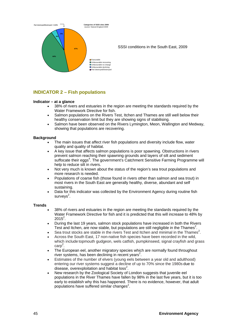

SSSI conditions in the South East, 2009

## **INDICATOR 2 – Fish populations**

#### **Indicator – at a glance**

- 38% of rivers and estuaries in the region are meeting the standards required by the Water Framework Directive for fish.
- Salmon populations on the Rivers Test, Itchen and Thames are still well below their healthy conservation limit but they are showing signs of stabilising.
- Salmon have been observed on the Rivers Lymington, Meon, Wallington and Medway, showing that populations are recovering.

#### **Background**

- The main issues that affect river fish populations and diversity include flow, water quality and quality of habitat.
- A key issue that affects salmon populations is poor spawning. Obstructions in rivers prevent salmon reaching their spawning grounds and layers of silt and sediment suffocate their eggs<sup>4</sup>. The government's Catchment Sensitive Farming Programme will help to reduce silt in rivers.
- Not very much is known about the status of the region's sea trout populations and more research is needed.
- Populations of coarse fish (those found in rivers other than salmon and sea trout) in most rivers in the South East are generally healthy, diverse, abundant and self sustaining.
- Data for this indicator was collected by the Environment Agency during routine fish  $s$ urvey $s^2$ .

- 38% of rivers and estuaries in the region are meeting the standards required by the Water Framework Directive for fish and it is predicted that this will increase to 48% by  $2015^2$ .
- During the last 19 years, salmon stock populations have increased in both the Rivers Test and Itchen, are now stable, but populations are still negligible in the Thames<sup>2</sup>.
- Sea trout stocks are stable in the rivers Test and Itchen and minimal in the Thames<sup>2</sup>.
- Across the South East, 17 non-native fish species have been recorded in the wild, which include topmouth gudgeon, wels catfish, pumpkinseed, signal crayfish and grass carp<sup>2</sup>.
- The European eel, another migratory species which are normally found throughout river systems, has been declining in recent years<sup>2</sup>.
- Estimates of the number of elvers (young eels between a year old and adulthood) entering our river systems suggest a decline of up to 70% since the 1980s due to disease, overexploitation and habitat loss<sup>2</sup>.
- New research by the Zoological Society of London suggests that juvenile eel populations in the River Thames have fallen by 98% in the last five years, but it is too early to establish why this has happened. There is no evidence, however, that adult populations have suffered similar changes<sup>2</sup>.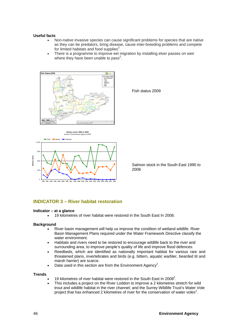#### **Useful facts**

- Non-native invasive species can cause significant problems for species that are native as they can be predators, bring disease, cause inter-breeding problems and compete for limited habitats and food supplies $^2$ .
- There is a programme to improve eel migration by installing elver passes on weir where they have been unable to pass<sup>2</sup>.





Fish status 2009

Salmon stock in the South East 1990 to 2008

#### **INDICATOR 3 – River habitat restoration**

#### **Indicator – at a glance**

• 19 kilometres of river habitat were restored in the South East In 2008.

#### **Background**

- River basin management will help us improve the condition of wetland wildlife. River Basin Management Plans required under the Water Framework Directive classify the water environment.
- Habitats and rivers need to be restored to encourage wildlife back to the river and surrounding area, to improve people's quality of life and improve flood defences.
- Reedbeds, which are identified as nationally important habitat for various rare and threatened plans, invertebrates and birds (e.g. bittern, aquatic warbler, bearded tit and marsh harrier) are scarce.
- Data used in this section are from the Environment Agency<sup>2</sup>.

- 19 kilometres of river habitat were restored in the South East In 2008<sup>2</sup>.
- This includes a project on the River Loddon to improve a 2 kilometres stretch for wild trout and wildlife habitat in the river channel; and the Surrey Wildlife Trust's Water Vole project that has enhanced 2 kilometres of river for the conservation of water voles<sup>2</sup>.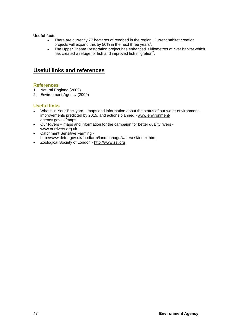#### **Useful facts**

- There are currently 77 hectares of reedbed in the region. Current habitat creation projects will expand this by 50% in the next three years<sup>2</sup>.
- The Upper Thame Restoration project has enhanced 3 kilometres of river habitat which has created a refuge for fish and improved fish migration<sup>2</sup>.

## **Useful links and references**

### **References**

- 1. Natural England (2009)
- 2. Environment Agency (2009)

## **Useful links**

- What's in Your Backyard maps and information about the status of our water environment, improvements predicted by 2015, and actions planned - www.environmentagency.gov.uk/maps
- Our Rivers maps and information for the campaign for better quality rivers www.ourrivers.org.uk
- Catchment Sensitive Farming http://www.defra.gov.uk/foodfarm/landmanage/water/csf/index.htm
- Zoological Society of London http://www.zsl.org